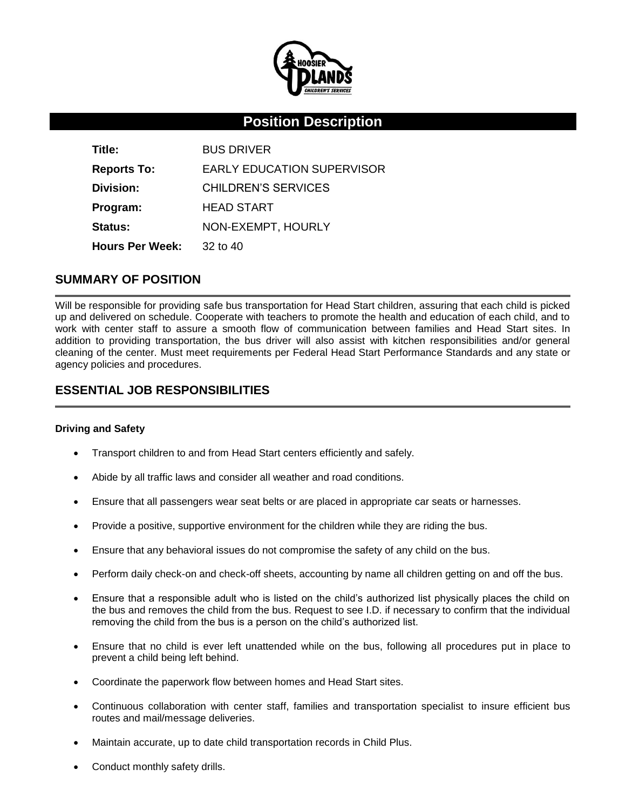

# **Position Description**

| Title:                 | <b>BUS DRIVER</b>                 |
|------------------------|-----------------------------------|
| <b>Reports To:</b>     | <b>EARLY EDUCATION SUPERVISOR</b> |
| Division:              | CHILDREN'S SERVICES               |
| Program:               | <b>HEAD START</b>                 |
| <b>Status:</b>         | NON-EXEMPT, HOURLY                |
| <b>Hours Per Week:</b> | $32$ to $40$                      |

## **SUMMARY OF POSITION**

Will be responsible for providing safe bus transportation for Head Start children, assuring that each child is picked up and delivered on schedule. Cooperate with teachers to promote the health and education of each child, and to work with center staff to assure a smooth flow of communication between families and Head Start sites. In addition to providing transportation, the bus driver will also assist with kitchen responsibilities and/or general cleaning of the center. Must meet requirements per Federal Head Start Performance Standards and any state or agency policies and procedures.

# **ESSENTIAL JOB RESPONSIBILITIES**

#### **Driving and Safety**

- Transport children to and from Head Start centers efficiently and safely.
- Abide by all traffic laws and consider all weather and road conditions.
- Ensure that all passengers wear seat belts or are placed in appropriate car seats or harnesses.
- Provide a positive, supportive environment for the children while they are riding the bus.
- Ensure that any behavioral issues do not compromise the safety of any child on the bus.
- Perform daily check-on and check-off sheets, accounting by name all children getting on and off the bus.
- Ensure that a responsible adult who is listed on the child's authorized list physically places the child on the bus and removes the child from the bus. Request to see I.D. if necessary to confirm that the individual removing the child from the bus is a person on the child's authorized list.
- Ensure that no child is ever left unattended while on the bus, following all procedures put in place to prevent a child being left behind.
- Coordinate the paperwork flow between homes and Head Start sites.
- Continuous collaboration with center staff, families and transportation specialist to insure efficient bus routes and mail/message deliveries.
- Maintain accurate, up to date child transportation records in Child Plus.
- Conduct monthly safety drills.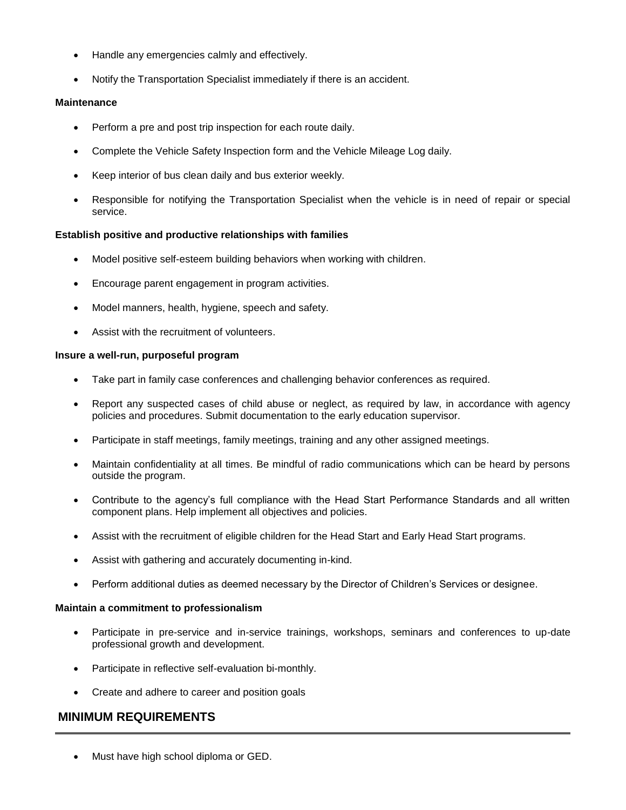- Handle any emergencies calmly and effectively.
- Notify the Transportation Specialist immediately if there is an accident.

#### **Maintenance**

- Perform a pre and post trip inspection for each route daily.
- Complete the Vehicle Safety Inspection form and the Vehicle Mileage Log daily.
- Keep interior of bus clean daily and bus exterior weekly.
- Responsible for notifying the Transportation Specialist when the vehicle is in need of repair or special service.

#### **Establish positive and productive relationships with families**

- Model positive self-esteem building behaviors when working with children.
- Encourage parent engagement in program activities.
- Model manners, health, hygiene, speech and safety.
- Assist with the recruitment of volunteers.

#### **Insure a well-run, purposeful program**

- Take part in family case conferences and challenging behavior conferences as required.
- Report any suspected cases of child abuse or neglect, as required by law, in accordance with agency policies and procedures. Submit documentation to the early education supervisor.
- Participate in staff meetings, family meetings, training and any other assigned meetings.
- Maintain confidentiality at all times. Be mindful of radio communications which can be heard by persons outside the program.
- Contribute to the agency's full compliance with the Head Start Performance Standards and all written component plans. Help implement all objectives and policies.
- Assist with the recruitment of eligible children for the Head Start and Early Head Start programs.
- Assist with gathering and accurately documenting in-kind.
- Perform additional duties as deemed necessary by the Director of Children's Services or designee.

#### **Maintain a commitment to professionalism**

- Participate in pre-service and in-service trainings, workshops, seminars and conferences to up-date professional growth and development.
- Participate in reflective self-evaluation bi-monthly.
- Create and adhere to career and position goals

## **MINIMUM REQUIREMENTS**

Must have high school diploma or GED.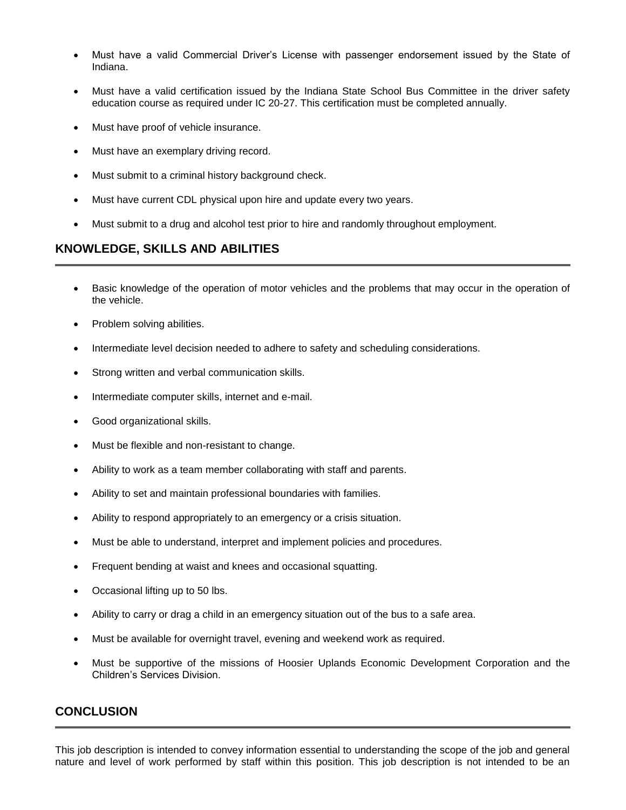- Must have a valid Commercial Driver's License with passenger endorsement issued by the State of Indiana.
- Must have a valid certification issued by the Indiana State School Bus Committee in the driver safety education course as required under IC 20-27. This certification must be completed annually.
- Must have proof of vehicle insurance.
- Must have an exemplary driving record.
- Must submit to a criminal history background check.
- Must have current CDL physical upon hire and update every two years.
- Must submit to a drug and alcohol test prior to hire and randomly throughout employment.

# **KNOWLEDGE, SKILLS AND ABILITIES**

- Basic knowledge of the operation of motor vehicles and the problems that may occur in the operation of the vehicle.
- Problem solving abilities.
- Intermediate level decision needed to adhere to safety and scheduling considerations.
- Strong written and verbal communication skills.
- Intermediate computer skills, internet and e-mail.
- Good organizational skills.
- Must be flexible and non-resistant to change.
- Ability to work as a team member collaborating with staff and parents.
- Ability to set and maintain professional boundaries with families.
- Ability to respond appropriately to an emergency or a crisis situation.
- Must be able to understand, interpret and implement policies and procedures.
- Frequent bending at waist and knees and occasional squatting.
- Occasional lifting up to 50 lbs.
- Ability to carry or drag a child in an emergency situation out of the bus to a safe area.
- Must be available for overnight travel, evening and weekend work as required.
- Must be supportive of the missions of Hoosier Uplands Economic Development Corporation and the Children's Services Division.

### **CONCLUSION**

This job description is intended to convey information essential to understanding the scope of the job and general nature and level of work performed by staff within this position. This job description is not intended to be an